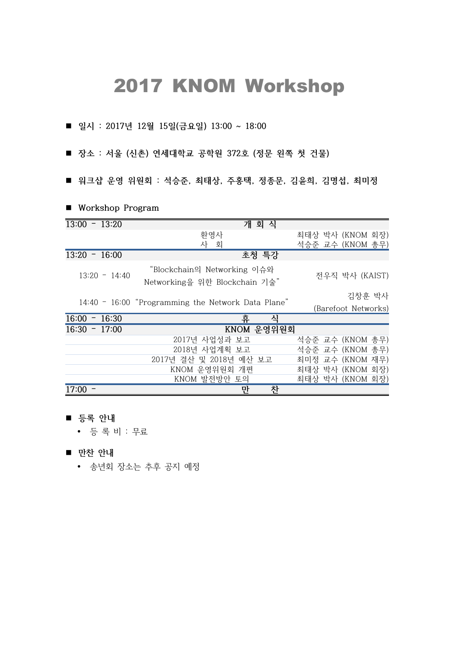## 2017 KNOM Workshop

- 일시 : 2017년 12월 15일(금요일) 13:00 ~ 18:00
- 장소 : 서울 (신촌) 연세대학교 공학원 372호 (정문 왼쪽 첫 건물)
- 워크샵 운영 위원회 : 석승준, 최태상, 주홍택, 정종문, 김윤희, 김명섭, 최미정

| 개 회 식<br>$13:00 - 13:20$                                                                          |  |
|---------------------------------------------------------------------------------------------------|--|
| 환영사<br>최태상 박사 (KNOM 회장)                                                                           |  |
| 사 회<br>석승준 교수 (KNOM 총무)                                                                           |  |
| $13:20 - 16:00$<br>초청 특강                                                                          |  |
| "Blockchain의 Networking 이슈와<br>$13:20 - 14:40$<br>전우직 박사 (KAIST)<br>Networking을 위한 Blockchain 기술" |  |
| 김창훈 박사<br>14:40 - 16:00 "Programming the Network Data Plane"<br>(Barefoot Networks)               |  |
| 휴<br>식<br>$16:00 - 16:30$                                                                         |  |
| $16:30 - 17:00$<br>KNOM 운영위원회                                                                     |  |
| 2017년 사업성과 보고<br>석승준 교수 (KNOM 총무)                                                                 |  |
| 2018년 사업계획 보고<br>석승준 교수 (KNOM 총무)                                                                 |  |
| 2017년 결산 및 2018년 예산 보고<br>최미정 교수 (KNOM 재무)                                                        |  |
| KNOM 운영위원회 개편<br>최태상 박사 (KNOM 회장)                                                                 |  |
| KNOM 발전방안 토의<br>최태상 박사 (KNOM 회장)                                                                  |  |
| 찬<br>만<br>17:00                                                                                   |  |

n **Workshop Program**

- 등록 안내
	- 등 록 비 : 무료
- 만찬 안내
	- 송년회 장소는 추후 공지 예정